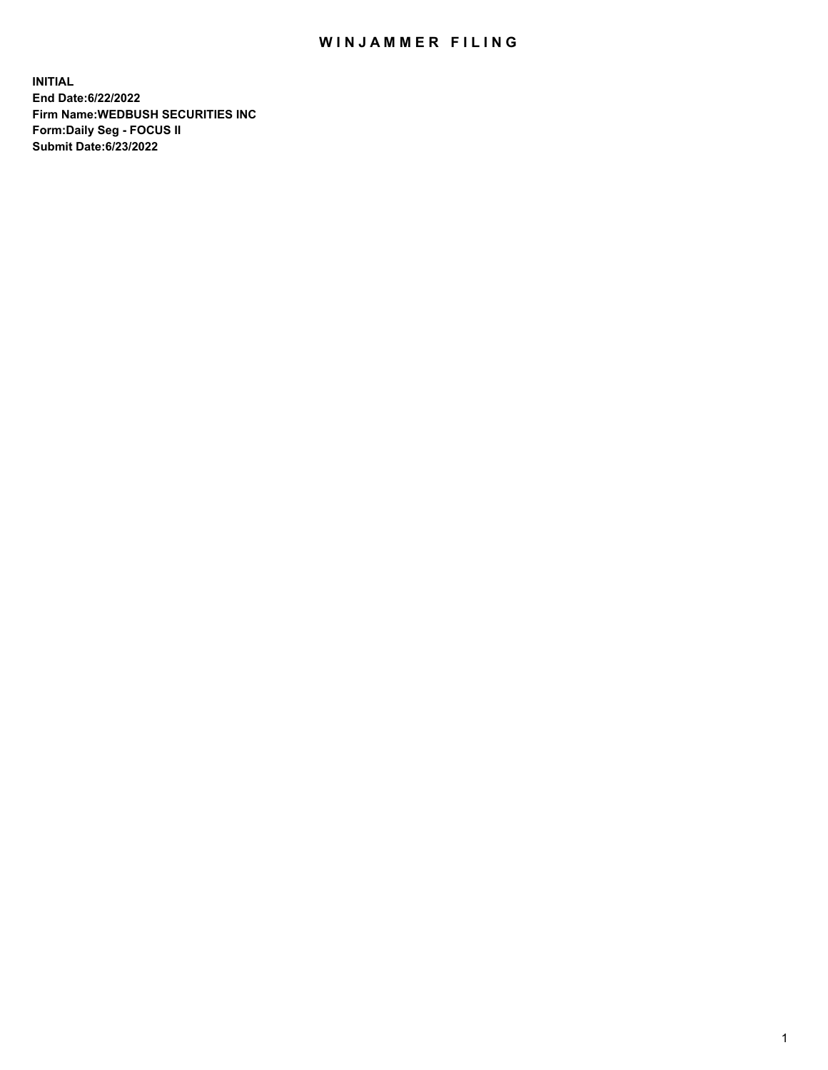## WIN JAMMER FILING

**INITIAL End Date:6/22/2022 Firm Name:WEDBUSH SECURITIES INC Form:Daily Seg - FOCUS II Submit Date:6/23/2022**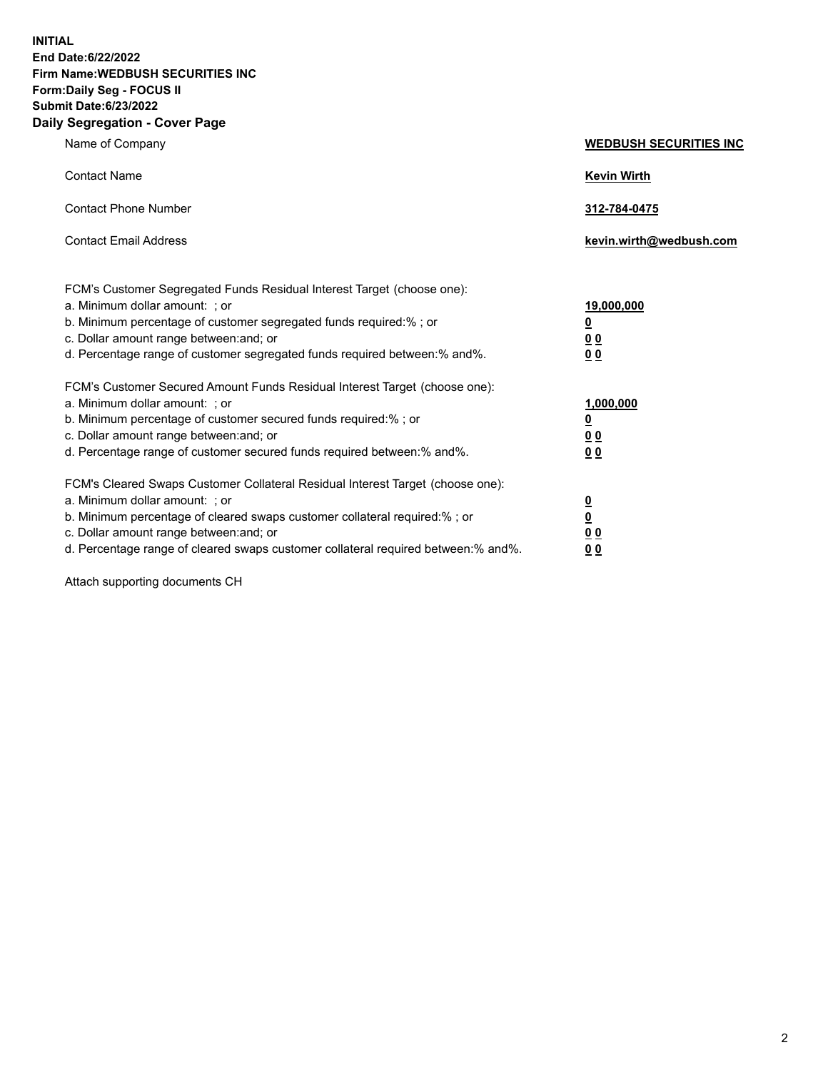**INITIAL End Date:6/22/2022 Firm Name:WEDBUSH SECURITIES INC Form:Daily Seg - FOCUS II Submit Date:6/23/2022 Daily Segregation - Cover Page**

| Name of Company                                                                                                                                                                                                                                                                                       | <b>WEDBUSH SECURITIES INC</b>                         |
|-------------------------------------------------------------------------------------------------------------------------------------------------------------------------------------------------------------------------------------------------------------------------------------------------------|-------------------------------------------------------|
| <b>Contact Name</b>                                                                                                                                                                                                                                                                                   | <b>Kevin Wirth</b>                                    |
| <b>Contact Phone Number</b>                                                                                                                                                                                                                                                                           | 312-784-0475                                          |
| <b>Contact Email Address</b>                                                                                                                                                                                                                                                                          | kevin.wirth@wedbush.com                               |
| FCM's Customer Segregated Funds Residual Interest Target (choose one):<br>a. Minimum dollar amount: ; or<br>b. Minimum percentage of customer segregated funds required:%; or<br>c. Dollar amount range between: and; or<br>d. Percentage range of customer segregated funds required between:% and%. | 19,000,000<br><u>0</u><br><u>00</u><br>0 <sub>0</sub> |
| FCM's Customer Secured Amount Funds Residual Interest Target (choose one):<br>a. Minimum dollar amount: ; or<br>b. Minimum percentage of customer secured funds required:%; or<br>c. Dollar amount range between: and; or<br>d. Percentage range of customer secured funds required between:% and%.   | 1,000,000<br><u>0</u><br><u>00</u><br>0 <sub>0</sub>  |
| FCM's Cleared Swaps Customer Collateral Residual Interest Target (choose one):<br>a. Minimum dollar amount: ; or<br>b. Minimum percentage of cleared swaps customer collateral required:%; or<br>c. Dollar amount range between: and; or                                                              | $\frac{0}{0}$<br>0 <sub>0</sub>                       |

d. Percentage range of cleared swaps customer collateral required between:% and%. **0 0**

Attach supporting documents CH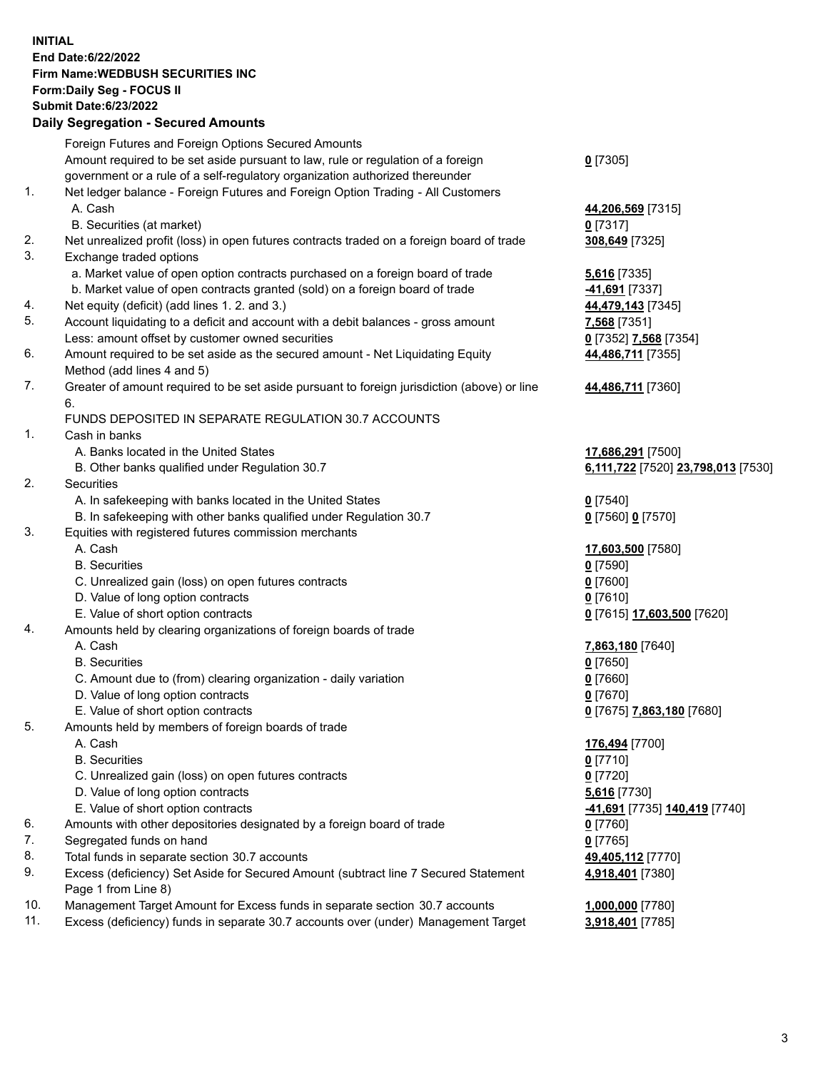**INITIAL End Date:6/22/2022 Firm Name:WEDBUSH SECURITIES INC Form:Daily Seg - FOCUS II Submit Date:6/23/2022 Daily Segregation - Secured Amounts**

|     | Foreign Futures and Foreign Options Secured Amounts                                         |                                             |
|-----|---------------------------------------------------------------------------------------------|---------------------------------------------|
|     | Amount required to be set aside pursuant to law, rule or regulation of a foreign            | $0$ [7305]                                  |
|     | government or a rule of a self-regulatory organization authorized thereunder                |                                             |
| 1.  | Net ledger balance - Foreign Futures and Foreign Option Trading - All Customers             |                                             |
|     | A. Cash                                                                                     | 44,206,569 [7315]                           |
|     | B. Securities (at market)                                                                   | $0$ [7317]                                  |
| 2.  | Net unrealized profit (loss) in open futures contracts traded on a foreign board of trade   | 308,649 [7325]                              |
| 3.  | Exchange traded options                                                                     |                                             |
|     | a. Market value of open option contracts purchased on a foreign board of trade              | 5,616 [7335]                                |
|     | b. Market value of open contracts granted (sold) on a foreign board of trade                | -41,691 <sup>[7337]</sup>                   |
| 4.  | Net equity (deficit) (add lines 1. 2. and 3.)                                               | 44,479,143 [7345]                           |
| 5.  | Account liquidating to a deficit and account with a debit balances - gross amount           | 7,568 [7351]                                |
|     | Less: amount offset by customer owned securities                                            | 0 [7352] 7,568 [7354]                       |
| 6.  | Amount required to be set aside as the secured amount - Net Liquidating Equity              | 44,486,711 [7355]                           |
|     | Method (add lines 4 and 5)                                                                  |                                             |
| 7.  | Greater of amount required to be set aside pursuant to foreign jurisdiction (above) or line | 44,486,711 [7360]                           |
|     | 6.                                                                                          |                                             |
|     | FUNDS DEPOSITED IN SEPARATE REGULATION 30.7 ACCOUNTS                                        |                                             |
| 1.  | Cash in banks                                                                               |                                             |
|     | A. Banks located in the United States                                                       | 17,686,291 [7500]                           |
|     | B. Other banks qualified under Regulation 30.7                                              | 6,111,722 [7520] 23,798,013 [7530]          |
| 2.  | Securities                                                                                  |                                             |
|     | A. In safekeeping with banks located in the United States                                   | $0$ [7540]                                  |
|     | B. In safekeeping with other banks qualified under Regulation 30.7                          | 0 [7560] 0 [7570]                           |
| 3.  | Equities with registered futures commission merchants                                       |                                             |
|     | A. Cash                                                                                     | 17,603,500 [7580]                           |
|     | <b>B.</b> Securities                                                                        | $0$ [7590]                                  |
|     | C. Unrealized gain (loss) on open futures contracts                                         | $0$ [7600]                                  |
|     | D. Value of long option contracts                                                           | $0$ [7610]                                  |
|     | E. Value of short option contracts                                                          | 0 [7615] 17,603,500 [7620]                  |
| 4.  | Amounts held by clearing organizations of foreign boards of trade                           |                                             |
|     | A. Cash                                                                                     | 7,863,180 [7640]                            |
|     | <b>B.</b> Securities                                                                        | $0$ [7650]                                  |
|     | C. Amount due to (from) clearing organization - daily variation                             | $0$ [7660]                                  |
|     | D. Value of long option contracts                                                           | $0$ [7670]                                  |
| 5.  | E. Value of short option contracts                                                          | 0 [7675] 7,863,180 [7680]                   |
|     | Amounts held by members of foreign boards of trade<br>A. Cash                               |                                             |
|     | <b>B.</b> Securities                                                                        | 176,494 [7700]                              |
|     |                                                                                             | $0$ [7710]<br>$0$ [7720]                    |
|     | C. Unrealized gain (loss) on open futures contracts<br>D. Value of long option contracts    |                                             |
|     | E. Value of short option contracts                                                          | 5,616 [7730]                                |
| 6.  | Amounts with other depositories designated by a foreign board of trade                      | -41,691 [7735] 140,419 [7740]<br>$0$ [7760] |
| 7.  | Segregated funds on hand                                                                    | $0$ [7765]                                  |
| 8.  | Total funds in separate section 30.7 accounts                                               | 49,405,112 [7770]                           |
| 9.  | Excess (deficiency) Set Aside for Secured Amount (subtract line 7 Secured Statement         | 4,918,401 [7380]                            |
|     | Page 1 from Line 8)                                                                         |                                             |
| 10. | Management Target Amount for Excess funds in separate section 30.7 accounts                 | 1,000,000 [7780]                            |
| 11. | Excess (deficiency) funds in separate 30.7 accounts over (under) Management Target          | 3,918,401 [7785]                            |
|     |                                                                                             |                                             |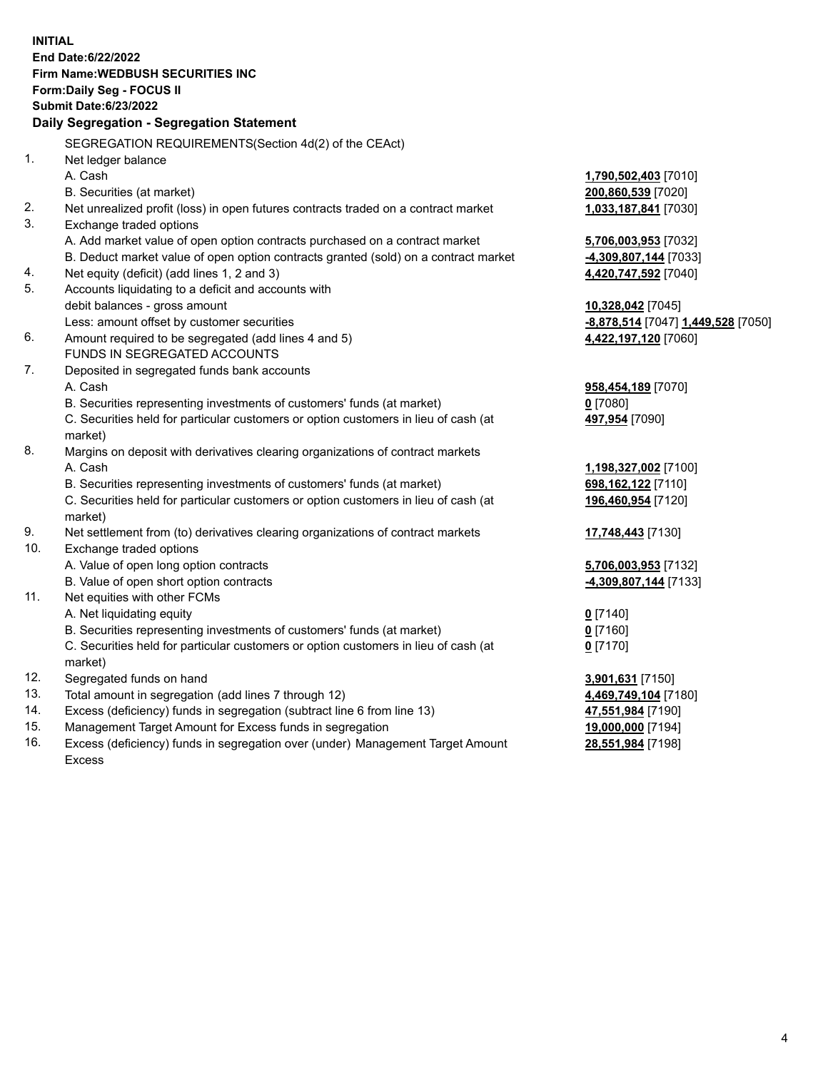|     | <b>INITIAL</b><br>End Date: 6/22/2022<br><b>Firm Name: WEDBUSH SECURITIES INC</b><br>Form: Daily Seg - FOCUS II<br><b>Submit Date:6/23/2022</b> |                                    |
|-----|-------------------------------------------------------------------------------------------------------------------------------------------------|------------------------------------|
|     | Daily Segregation - Segregation Statement                                                                                                       |                                    |
|     | SEGREGATION REQUIREMENTS(Section 4d(2) of the CEAct)                                                                                            |                                    |
| 1.  | Net ledger balance                                                                                                                              |                                    |
|     | A. Cash                                                                                                                                         | 1,790,502,403 [7010]               |
|     | B. Securities (at market)                                                                                                                       | 200,860,539 [7020]                 |
| 2.  | Net unrealized profit (loss) in open futures contracts traded on a contract market                                                              | 1,033,187,841 [7030]               |
| 3.  | Exchange traded options                                                                                                                         |                                    |
|     | A. Add market value of open option contracts purchased on a contract market                                                                     | 5,706,003,953 [7032]               |
|     | B. Deduct market value of open option contracts granted (sold) on a contract market                                                             | -4,309,807,144 [7033]              |
| 4.  | Net equity (deficit) (add lines 1, 2 and 3)                                                                                                     | 4,420,747,592 [7040]               |
| 5.  | Accounts liquidating to a deficit and accounts with                                                                                             |                                    |
|     | debit balances - gross amount                                                                                                                   | 10,328,042 <sub>[7045]</sub>       |
|     | Less: amount offset by customer securities                                                                                                      | -8,878,514 [7047] 1,449,528 [7050] |
| 6.  | Amount required to be segregated (add lines 4 and 5)                                                                                            | 4,422,197,120 [7060]               |
|     | FUNDS IN SEGREGATED ACCOUNTS                                                                                                                    |                                    |
| 7.  | Deposited in segregated funds bank accounts                                                                                                     |                                    |
|     | A. Cash                                                                                                                                         | 958,454,189 [7070]                 |
|     | B. Securities representing investments of customers' funds (at market)                                                                          | $0$ [7080]                         |
|     | C. Securities held for particular customers or option customers in lieu of cash (at<br>market)                                                  | 497,954 [7090]                     |
| 8.  | Margins on deposit with derivatives clearing organizations of contract markets                                                                  |                                    |
|     | A. Cash                                                                                                                                         | 1,198,327,002 [7100]               |
|     | B. Securities representing investments of customers' funds (at market)                                                                          | 698, 162, 122 [7110]               |
|     | C. Securities held for particular customers or option customers in lieu of cash (at<br>market)                                                  | 196,460,954 [7120]                 |
| 9.  | Net settlement from (to) derivatives clearing organizations of contract markets                                                                 | 17,748,443 [7130]                  |
| 10. | Exchange traded options                                                                                                                         |                                    |
|     | A. Value of open long option contracts                                                                                                          | 5,706,003,953 [7132]               |
|     | B. Value of open short option contracts                                                                                                         | -4,309,807,144 [7133]              |
| 11. | Net equities with other FCMs                                                                                                                    |                                    |
|     | A. Net liquidating equity                                                                                                                       | $0$ [7140]                         |
|     | B. Securities representing investments of customers' funds (at market)                                                                          | $0$ [7160]                         |
|     | C. Securities held for particular customers or option customers in lieu of cash (at<br>market)                                                  | $0$ [7170]                         |
| 12. | Segregated funds on hand                                                                                                                        | 3,901,631 [7150]                   |
| 13. | Total amount in segregation (add lines 7 through 12)                                                                                            | 4,469,749,104 [7180]               |
| 14. | Excess (deficiency) funds in segregation (subtract line 6 from line 13)                                                                         | 47,551,984 [7190]                  |
| 15. | Management Target Amount for Excess funds in segregation                                                                                        | 19,000,000 [7194]                  |
|     |                                                                                                                                                 |                                    |

16. Excess (deficiency) funds in segregation over (under) Management Target Amount Excess

**28,551,984** [7198]